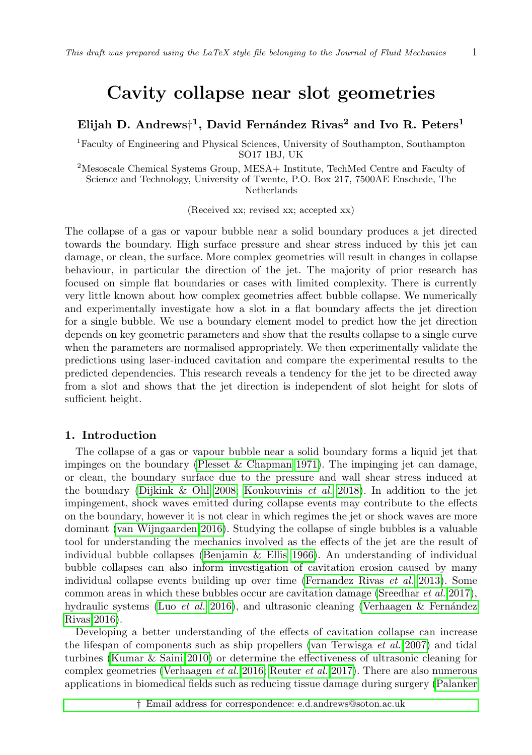# Elijah D. Andrews $\dagger^1$ , David Fernández Rivas<sup>2</sup> and Ivo R. Peters<sup>1</sup>

<sup>1</sup>Faculty of Engineering and Physical Sciences, University of Southampton, Southampton SO17 1BJ, UK

<sup>2</sup>Mesoscale Chemical Systems Group, MESA+ Institute, TechMed Centre and Faculty of Science and Technology, University of Twente, P.O. Box 217, 7500AE Enschede, The Netherlands

(Received xx; revised xx; accepted xx)

The collapse of a gas or vapour bubble near a solid boundary produces a jet directed towards the boundary. High surface pressure and shear stress induced by this jet can damage, or clean, the surface. More complex geometries will result in changes in collapse behaviour, in particular the direction of the jet. The majority of prior research has focused on simple flat boundaries or cases with limited complexity. There is currently very little known about how complex geometries affect bubble collapse. We numerically and experimentally investigate how a slot in a flat boundary affects the jet direction for a single bubble. We use a boundary element model to predict how the jet direction depends on key geometric parameters and show that the results collapse to a single curve when the parameters are normalised appropriately. We then experimentally validate the predictions using laser-induced cavitation and compare the experimental results to the predicted dependencies. This research reveals a tendency for the jet to be directed away from a slot and shows that the jet direction is independent of slot height for slots of sufficient height.

# 1. Introduction

The collapse of a gas or vapour bubble near a solid boundary forms a liquid jet that impinges on the boundary (Plesset  $\&$  Chapman 1971). The impinging jet can damage, or clean, the boundary surface due to the pressure and wall shear stress induced at the boundary [\(Dijkink & Ohl 2008;](#page-20-0) [Koukouvinis](#page-20-1) et al. [2018\)](#page-20-1). In addition to the jet impingement, shock waves emitted during collapse events may contribute to the effects on the boundary, however it is not clear in which regimes the jet or shock waves are more dominant [\(van Wijngaarden 2016\)](#page-21-1). Studying the collapse of single bubbles is a valuable tool for understanding the mechanics involved as the effects of the jet are the result of individual bubble collapses [\(Benjamin & Ellis 1966\)](#page-19-0). An understanding of individual bubble collapses can also inform investigation of cavitation erosion caused by many individual collapse events building up over time [\(Fernandez Rivas](#page-20-2) et al. [2013\)](#page-20-2). Some common areas in which these bubbles occur are cavitation damage [\(Sreedhar](#page-21-2) et al. [2017\)](#page-21-2), hydraulic systems (Luo *[et al.](#page-20-3)* [2016\)](#page-20-3), and ultrasonic cleaning (Verhaagen & Fernández [Rivas 2016\)](#page-21-3).

Developing a better understanding of the effects of cavitation collapse can increase the lifespan of components such as ship propellers [\(van Terwisga](#page-21-4) et al. [2007\)](#page-21-4) and tidal turbines [\(Kumar & Saini 2010\)](#page-20-4) or determine the effectiveness of ultrasonic cleaning for complex geometries [\(Verhaagen](#page-21-5) et al. [2016;](#page-21-5) [Reuter](#page-21-6) et al. [2017\)](#page-21-6). There are also numerous applications in biomedical fields such as reducing tissue damage during surgery [\(Palanker](#page-21-7)

† [Email address for correspondence: e.d.andrews@soton.ac.uk](#page-21-7)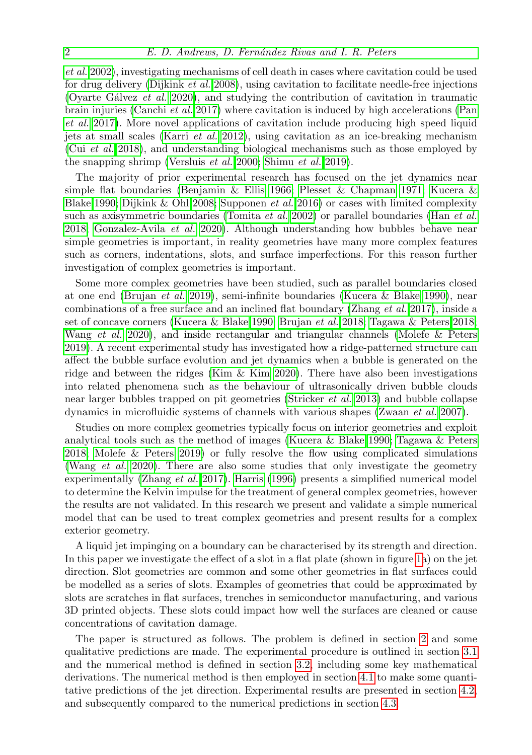[et al.](#page-21-7) [2002\)](#page-21-7), investigating mechanisms of cell death in cases where cavitation could be used for drug delivery [\(Dijkink](#page-20-5) et al. [2008\)](#page-20-5), using cavitation to facilitate needle-free injections (Oyarte Gálvez et al. [2020\)](#page-20-6), and studying the contribution of cavitation in traumatic brain injuries [\(Canchi](#page-20-7) et al. [2017\)](#page-20-7) where cavitation is induced by high accelerations [\(Pan](#page-21-8) [et al.](#page-21-8) [2017\)](#page-21-8). More novel applications of cavitation include producing high speed liquid jets at small scales [\(Karri](#page-20-8) et al. [2012\)](#page-20-8), using cavitation as an ice-breaking mechanism (Cui [et al.](#page-20-9) [2018\)](#page-20-9), and understanding biological mechanisms such as those employed by the snapping shrimp [\(Versluis](#page-21-9) et al. [2000;](#page-21-9) [Shimu](#page-21-10) et al. [2019\)](#page-21-10).

The majority of prior experimental research has focused on the jet dynamics near simple flat boundaries [\(Benjamin & Ellis 1966;](#page-19-0) [Plesset & Chapman 1971;](#page-21-0) [Kucera &](#page-20-10) [Blake 1990;](#page-20-10) [Dijkink & Ohl 2008;](#page-20-0) [Supponen](#page-21-11) *et al.* [2016\)](#page-21-11) or cases with limited complexity such as axisymmetric boundaries [\(Tomita](#page-21-12) *[et al.](#page-20-11)* [2002\)](#page-21-12) or parallel boundaries (Han *et al.* [2018;](#page-20-11) [Gonzalez-Avila](#page-20-12) et al. [2020\)](#page-20-12). Although understanding how bubbles behave near simple geometries is important, in reality geometries have many more complex features such as corners, indentations, slots, and surface imperfections. For this reason further investigation of complex geometries is important.

Some more complex geometries have been studied, such as parallel boundaries closed at one end [\(Brujan](#page-20-13) et al. [2019\)](#page-20-13), semi-infinite boundaries [\(Kucera & Blake 1990\)](#page-20-10), near combinations of a free surface and an inclined flat boundary [\(Zhang](#page-21-13) et al. [2017\)](#page-21-13), inside a set of concave corners [\(Kucera & Blake 1990;](#page-20-10) [Brujan](#page-19-1) et al. [2018;](#page-19-1) [Tagawa & Peters 2018;](#page-21-14) [Wang](#page-21-15) et al. [2020\)](#page-21-15), and inside rectangular and triangular channels [\(Molefe & Peters](#page-20-14) [2019\)](#page-20-14). A recent experimental study has investigated how a ridge-patterned structure can affect the bubble surface evolution and jet dynamics when a bubble is generated on the ridge and between the ridges [\(Kim & Kim 2020\)](#page-20-15). There have also been investigations into related phenomena such as the behaviour of ultrasonically driven bubble clouds near larger bubbles trapped on pit geometries [\(Stricker](#page-21-16) et al. [2013\)](#page-21-16) and bubble collapse dynamics in microfluidic systems of channels with various shapes [\(Zwaan](#page-21-17) et al. [2007\)](#page-21-17).

Studies on more complex geometries typically focus on interior geometries and exploit analytical tools such as the method of images [\(Kucera & Blake 1990;](#page-20-10) [Tagawa & Peters](#page-21-14) [2018;](#page-21-14) [Molefe & Peters 2019\)](#page-20-14) or fully resolve the flow using complicated simulations [\(Wang](#page-21-15) et al. [2020\)](#page-21-15). There are also some studies that only investigate the geometry experimentally [\(Zhang](#page-21-13) et al. [2017\)](#page-21-13). [Harris](#page-20-16) [\(1996\)](#page-20-16) presents a simplified numerical model to determine the Kelvin impulse for the treatment of general complex geometries, however the results are not validated. In this research we present and validate a simple numerical model that can be used to treat complex geometries and present results for a complex exterior geometry.

A liquid jet impinging on a boundary can be characterised by its strength and direction. In this paper we investigate the effect of a slot in a flat plate (shown in figure [1a](#page-3-0)) on the jet direction. Slot geometries are common and some other geometries in flat surfaces could be modelled as a series of slots. Examples of geometries that could be approximated by slots are scratches in flat surfaces, trenches in semiconductor manufacturing, and various 3D printed objects. These slots could impact how well the surfaces are cleaned or cause concentrations of cavitation damage.

The paper is structured as follows. The problem is defined in section [2](#page-2-0) and some qualitative predictions are made. The experimental procedure is outlined in section [3.1](#page-2-1) and the numerical method is defined in section [3.2,](#page-4-0) including some key mathematical derivations. The numerical method is then employed in section [4.1](#page-8-0) to make some quantitative predictions of the jet direction. Experimental results are presented in section [4.2,](#page-11-0) and subsequently compared to the numerical predictions in section [4.3.](#page-12-0)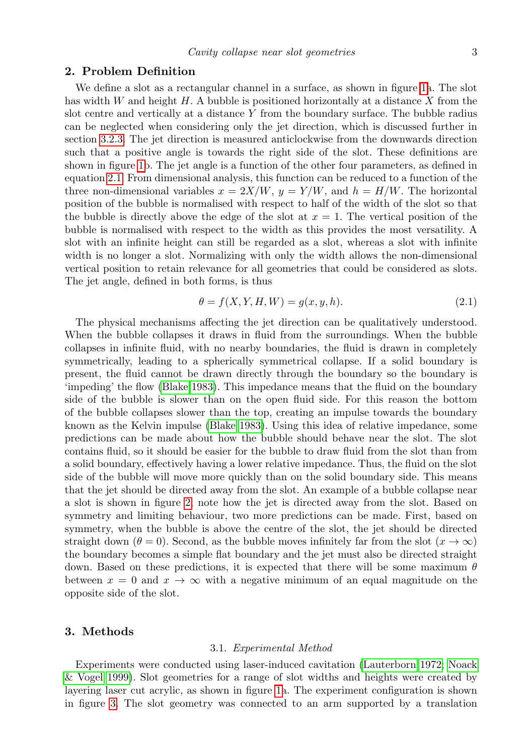# <span id="page-2-0"></span>2. Problem Definition

We define a slot as a rectangular channel in a surface, as shown in figure [1a](#page-3-0). The slot has width  $W$  and height  $H$ . A bubble is positioned horizontally at a distance  $X$  from the slot centre and vertically at a distance  $Y$  from the boundary surface. The bubble radius can be neglected when considering only the jet direction, which is discussed further in section [3.2.3.](#page-7-0) The jet direction is measured anticlockwise from the downwards direction such that a positive angle is towards the right side of the slot. These definitions are shown in figure [1b](#page-3-0). The jet angle is a function of the other four parameters, as defined in equation [2.1.](#page-2-2) From dimensional analysis, this function can be reduced to a function of the three non-dimensional variables  $x = 2X/W$ ,  $y = Y/W$ , and  $h = H/W$ . The horizontal position of the bubble is normalised with respect to half of the width of the slot so that the bubble is directly above the edge of the slot at  $x = 1$ . The vertical position of the bubble is normalised with respect to the width as this provides the most versatility. A slot with an infinite height can still be regarded as a slot, whereas a slot with infinite width is no longer a slot. Normalizing with only the width allows the non-dimensional vertical position to retain relevance for all geometries that could be considered as slots. The jet angle, defined in both forms, is thus

<span id="page-2-2"></span>
$$
\theta = f(X, Y, H, W) = g(x, y, h).
$$
\n(2.1)

The physical mechanisms affecting the jet direction can be qualitatively understood. When the bubble collapses it draws in fluid from the surroundings. When the bubble collapses in infinite fluid, with no nearby boundaries, the fluid is drawn in completely symmetrically, leading to a spherically symmetrical collapse. If a solid boundary is present, the fluid cannot be drawn directly through the boundary so the boundary is 'impeding' the flow [\(Blake 1983\)](#page-19-2). This impedance means that the fluid on the boundary side of the bubble is slower than on the open fluid side. For this reason the bottom of the bubble collapses slower than the top, creating an impulse towards the boundary known as the Kelvin impulse [\(Blake 1983\)](#page-19-2). Using this idea of relative impedance, some predictions can be made about how the bubble should behave near the slot. The slot contains fluid, so it should be easier for the bubble to draw fluid from the slot than from a solid boundary, effectively having a lower relative impedance. Thus, the fluid on the slot side of the bubble will move more quickly than on the solid boundary side. This means that the jet should be directed away from the slot. An example of a bubble collapse near a slot is shown in figure [2;](#page-3-1) note how the jet is directed away from the slot. Based on symmetry and limiting behaviour, two more predictions can be made. First, based on symmetry, when the bubble is above the centre of the slot, the jet should be directed straight down ( $\theta = 0$ ). Second, as the bubble moves infinitely far from the slot  $(x \to \infty)$ the boundary becomes a simple flat boundary and the jet must also be directed straight down. Based on these predictions, it is expected that there will be some maximum  $\theta$ between  $x = 0$  and  $x \to \infty$  with a negative minimum of an equal magnitude on the opposite side of the slot.

# <span id="page-2-1"></span>3. Methods

# 3.1. Experimental Method

Experiments were conducted using laser-induced cavitation [\(Lauterborn 1972;](#page-20-17) [Noack](#page-20-18) [& Vogel 1999\)](#page-20-18). Slot geometries for a range of slot widths and heights were created by layering laser cut acrylic, as shown in figure [1a](#page-3-0). The experiment configuration is shown in figure [3.](#page-4-1) The slot geometry was connected to an arm supported by a translation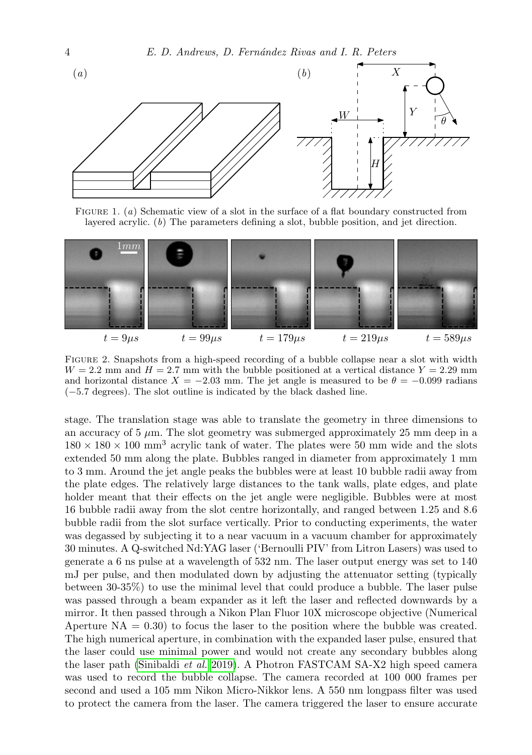

<span id="page-3-0"></span>FIGURE 1. (a) Schematic view of a slot in the surface of a flat boundary constructed from layered acrylic. (b) The parameters defining a slot, bubble position, and jet direction.



<span id="page-3-1"></span>Figure 2. Snapshots from a high-speed recording of a bubble collapse near a slot with width  $W = 2.2$  mm and  $H = 2.7$  mm with the bubble positioned at a vertical distance  $Y = 2.29$  mm and horizontal distance  $X = -2.03$  mm. The jet angle is measured to be  $\theta = -0.099$  radians (−5.7 degrees). The slot outline is indicated by the black dashed line.

stage. The translation stage was able to translate the geometry in three dimensions to an accuracy of 5  $\mu$ m. The slot geometry was submerged approximately 25 mm deep in a  $180 \times 180 \times 100$  mm<sup>3</sup> acrylic tank of water. The plates were 50 mm wide and the slots extended 50 mm along the plate. Bubbles ranged in diameter from approximately 1 mm to 3 mm. Around the jet angle peaks the bubbles were at least 10 bubble radii away from the plate edges. The relatively large distances to the tank walls, plate edges, and plate holder meant that their effects on the jet angle were negligible. Bubbles were at most 16 bubble radii away from the slot centre horizontally, and ranged between 1.25 and 8.6 bubble radii from the slot surface vertically. Prior to conducting experiments, the water was degassed by subjecting it to a near vacuum in a vacuum chamber for approximately 30 minutes. A Q-switched Nd:YAG laser ('Bernoulli PIV' from Litron Lasers) was used to generate a 6 ns pulse at a wavelength of 532 nm. The laser output energy was set to 140 mJ per pulse, and then modulated down by adjusting the attenuator setting (typically between 30-35%) to use the minimal level that could produce a bubble. The laser pulse was passed through a beam expander as it left the laser and reflected downwards by a mirror. It then passed through a Nikon Plan Fluor 10X microscope objective (Numerical Aperture  $NA = 0.30$  to focus the laser to the position where the bubble was created. The high numerical aperture, in combination with the expanded laser pulse, ensured that the laser could use minimal power and would not create any secondary bubbles along the laser path [\(Sinibaldi](#page-21-18) et al. [2019\)](#page-21-18). A Photron FASTCAM SA-X2 high speed camera was used to record the bubble collapse. The camera recorded at 100 000 frames per second and used a 105 mm Nikon Micro-Nikkor lens. A 550 nm longpass filter was used to protect the camera from the laser. The camera triggered the laser to ensure accurate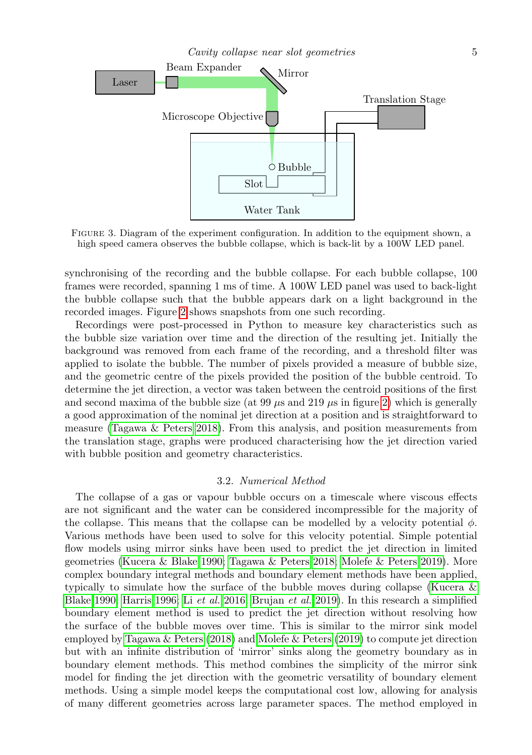

<span id="page-4-1"></span>Figure 3. Diagram of the experiment configuration. In addition to the equipment shown, a high speed camera observes the bubble collapse, which is back-lit by a 100W LED panel.

synchronising of the recording and the bubble collapse. For each bubble collapse, 100 frames were recorded, spanning 1 ms of time. A 100W LED panel was used to back-light the bubble collapse such that the bubble appears dark on a light background in the recorded images. Figure [2](#page-3-1) shows snapshots from one such recording.

Recordings were post-processed in Python to measure key characteristics such as the bubble size variation over time and the direction of the resulting jet. Initially the background was removed from each frame of the recording, and a threshold filter was applied to isolate the bubble. The number of pixels provided a measure of bubble size, and the geometric centre of the pixels provided the position of the bubble centroid. To determine the jet direction, a vector was taken between the centroid positions of the first and second maxima of the bubble size (at 99  $\mu$ s and 219  $\mu$ s in figure [2\)](#page-3-1) which is generally a good approximation of the nominal jet direction at a position and is straightforward to measure [\(Tagawa & Peters 2018\)](#page-21-14). From this analysis, and position measurements from the translation stage, graphs were produced characterising how the jet direction varied with bubble position and geometry characteristics.

# 3.2. Numerical Method

<span id="page-4-0"></span>The collapse of a gas or vapour bubble occurs on a timescale where viscous effects are not significant and the water can be considered incompressible for the majority of the collapse. This means that the collapse can be modelled by a velocity potential  $\phi$ . Various methods have been used to solve for this velocity potential. Simple potential flow models using mirror sinks have been used to predict the jet direction in limited geometries [\(Kucera & Blake 1990;](#page-20-10) [Tagawa & Peters 2018;](#page-21-14) [Molefe & Peters 2019\)](#page-20-14). More complex boundary integral methods and boundary element methods have been applied, typically to simulate how the surface of the bubble moves during collapse [\(Kucera &](#page-20-10) [Blake 1990;](#page-20-10) [Harris 1996;](#page-20-16) Li [et al.](#page-20-19) [2016;](#page-20-19) [Brujan](#page-20-13) et al. [2019\)](#page-20-13). In this research a simplified boundary element method is used to predict the jet direction without resolving how the surface of the bubble moves over time. This is similar to the mirror sink model employed by [Tagawa & Peters](#page-21-14) [\(2018\)](#page-21-14) and [Molefe & Peters](#page-20-14) [\(2019\)](#page-20-14) to compute jet direction but with an infinite distribution of 'mirror' sinks along the geometry boundary as in boundary element methods. This method combines the simplicity of the mirror sink model for finding the jet direction with the geometric versatility of boundary element methods. Using a simple model keeps the computational cost low, allowing for analysis of many different geometries across large parameter spaces. The method employed in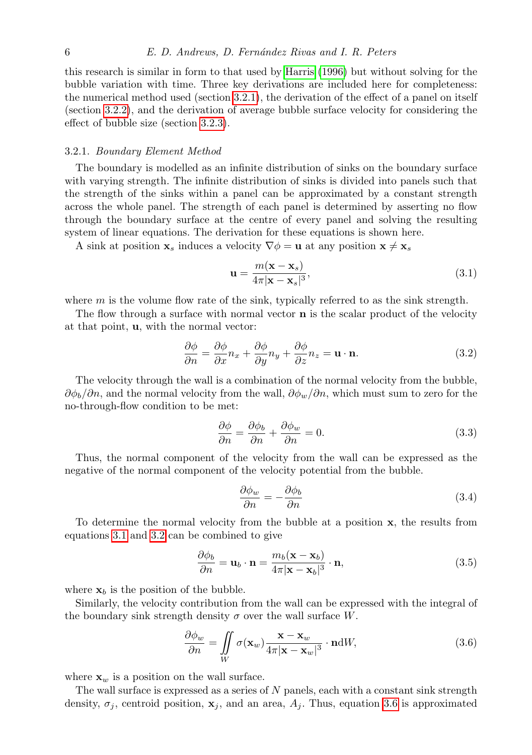this research is similar in form to that used by [Harris](#page-20-16) [\(1996\)](#page-20-16) but without solving for the bubble variation with time. Three key derivations are included here for completeness: the numerical method used (section [3.2.1\)](#page-5-0), the derivation of the effect of a panel on itself (section [3.2.2\)](#page-7-1), and the derivation of average bubble surface velocity for considering the effect of bubble size (section [3.2.3\)](#page-7-0).

# <span id="page-5-0"></span>3.2.1. Boundary Element Method

The boundary is modelled as an infinite distribution of sinks on the boundary surface with varying strength. The infinite distribution of sinks is divided into panels such that the strength of the sinks within a panel can be approximated by a constant strength across the whole panel. The strength of each panel is determined by asserting no flow through the boundary surface at the centre of every panel and solving the resulting system of linear equations. The derivation for these equations is shown here.

A sink at position  $\mathbf{x}_s$  induces a velocity  $\nabla \phi = \mathbf{u}$  at any position  $\mathbf{x} \neq \mathbf{x}_s$ 

<span id="page-5-1"></span>
$$
\mathbf{u} = \frac{m(\mathbf{x} - \mathbf{x}_s)}{4\pi |\mathbf{x} - \mathbf{x}_s|^3},\tag{3.1}
$$

where  $m$  is the volume flow rate of the sink, typically referred to as the sink strength.

The flow through a surface with normal vector  $\bf{n}$  is the scalar product of the velocity at that point, u, with the normal vector:

<span id="page-5-2"></span>
$$
\frac{\partial \phi}{\partial n} = \frac{\partial \phi}{\partial x} n_x + \frac{\partial \phi}{\partial y} n_y + \frac{\partial \phi}{\partial z} n_z = \mathbf{u} \cdot \mathbf{n}.
$$
 (3.2)

The velocity through the wall is a combination of the normal velocity from the bubble,  $\partial \phi_b/\partial n$ , and the normal velocity from the wall,  $\partial \phi_w/\partial n$ , which must sum to zero for the no-through-flow condition to be met:

$$
\frac{\partial \phi}{\partial n} = \frac{\partial \phi_b}{\partial n} + \frac{\partial \phi_w}{\partial n} = 0.
$$
\n(3.3)

Thus, the normal component of the velocity from the wall can be expressed as the negative of the normal component of the velocity potential from the bubble.

<span id="page-5-5"></span>
$$
\frac{\partial \phi_w}{\partial n} = -\frac{\partial \phi_b}{\partial n} \tag{3.4}
$$

To determine the normal velocity from the bubble at a position x, the results from equations [3.1](#page-5-1) and [3.2](#page-5-2) can be combined to give

<span id="page-5-4"></span>
$$
\frac{\partial \phi_b}{\partial n} = \mathbf{u}_b \cdot \mathbf{n} = \frac{m_b(\mathbf{x} - \mathbf{x}_b)}{4\pi |\mathbf{x} - \mathbf{x}_b|^3} \cdot \mathbf{n},\tag{3.5}
$$

where  $x_b$  is the position of the bubble.

Similarly, the velocity contribution from the wall can be expressed with the integral of the boundary sink strength density  $\sigma$  over the wall surface W.

<span id="page-5-3"></span>
$$
\frac{\partial \phi_w}{\partial n} = \iint\limits_W \sigma(\mathbf{x}_w) \frac{\mathbf{x} - \mathbf{x}_w}{4\pi |\mathbf{x} - \mathbf{x}_w|^3} \cdot \mathbf{n} \, \mathrm{d}W,\tag{3.6}
$$

where  $\mathbf{x}_w$  is a position on the wall surface.

The wall surface is expressed as a series of  $N$  panels, each with a constant sink strength density,  $\sigma_i$ , centroid position,  $\mathbf{x}_i$ , and an area,  $A_i$ . Thus, equation [3.6](#page-5-3) is approximated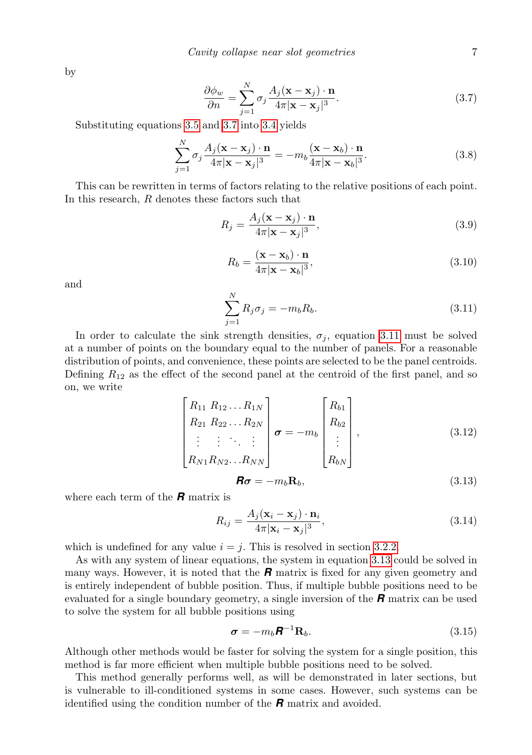by

<span id="page-6-0"></span>
$$
\frac{\partial \phi_w}{\partial n} = \sum_{j=1}^{N} \sigma_j \frac{A_j(\mathbf{x} - \mathbf{x}_j) \cdot \mathbf{n}}{4\pi |\mathbf{x} - \mathbf{x}_j|^3}.
$$
(3.7)

Substituting equations [3.5](#page-5-4) and [3.7](#page-6-0) into [3.4](#page-5-5) yields

$$
\sum_{j=1}^{N} \sigma_j \frac{A_j(\mathbf{x} - \mathbf{x}_j) \cdot \mathbf{n}}{4\pi |\mathbf{x} - \mathbf{x}_j|^3} = -m_b \frac{(\mathbf{x} - \mathbf{x}_b) \cdot \mathbf{n}}{4\pi |\mathbf{x} - \mathbf{x}_b|^3}.
$$
 (3.8)

This can be rewritten in terms of factors relating to the relative positions of each point. In this research, R denotes these factors such that

$$
R_j = \frac{A_j(\mathbf{x} - \mathbf{x}_j) \cdot \mathbf{n}}{4\pi |\mathbf{x} - \mathbf{x}_j|^3},\tag{3.9}
$$

$$
R_b = \frac{(\mathbf{x} - \mathbf{x}_b) \cdot \mathbf{n}}{4\pi |\mathbf{x} - \mathbf{x}_b|^3},\tag{3.10}
$$

and

<span id="page-6-1"></span>
$$
\sum_{j=1}^{N} R_j \sigma_j = -m_b R_b.
$$
\n(3.11)

In order to calculate the sink strength densities,  $\sigma_i$ , equation [3.11](#page-6-1) must be solved at a number of points on the boundary equal to the number of panels. For a reasonable distribution of points, and convenience, these points are selected to be the panel centroids. Defining  $R_{12}$  as the effect of the second panel at the centroid of the first panel, and so on, we write

<span id="page-6-3"></span>
$$
\begin{bmatrix}\nR_{11} & R_{12} & \ldots & R_{1N} \\
R_{21} & R_{22} & \ldots & R_{2N} \\
\vdots & \vdots & \ddots & \vdots \\
R_{N1} & R_{N2} & \ldots & R_{NN}\n\end{bmatrix}\n\sigma = -m_b\n\begin{bmatrix}\nR_{b1} \\
R_{b2} \\
\vdots \\
R_{bN}\n\end{bmatrix},
$$
\n(3.12)\n  
\n**6**\n**6**\n**7**\n**7**\n**8**\n**9**\n**1**\n**1**\n**1**\n**1**\n**1**\n**1**\n**1**\n**1**\n**1**\n**1**\n**1**\n**1**\n**1**\n**1**\n**1**\n**1**\n**1**\n**1**\n**1**\n**1**\n**1**\n**1**\n**1**\n**1**\n**1**\n**1**\n**1**\n**1**\n**1**\n**1**\n**1**\n**1**\n**1**\n**1**\n**1**\n**1**\n**1**\n**1**\n**1**\n**1**\n**1**\n**1**\n**1**\n**1**\n**1**\n**1**\n**1**\n**1**\n**1**\n**1**\n**1**\n**1**\n**1**\n**1**\n**1**\n**1**\n**1**\n**1**\n**1**\n**1**\n**1**\n**1**\n**1**\n**1**\n**1**\n**1**\n**1**\n**1**\n**1**\n**1**\n**1**\n**1**\n**1**\n**1**\n**1**\n**1**\n**1**\n**1**\n**1**\n**1**\n**1**\n

where each term of the *R* matrix is

<span id="page-6-2"></span>
$$
R_{ij} = \frac{A_j(\mathbf{x}_i - \mathbf{x}_j) \cdot \mathbf{n}_i}{4\pi |\mathbf{x}_i - \mathbf{x}_j|^3},\tag{3.14}
$$

which is undefined for any value  $i = j$ . This is resolved in section [3.2.2.](#page-7-1)

As with any system of linear equations, the system in equation [3.13](#page-6-2) could be solved in many ways. However, it is noted that the *R* matrix is fixed for any given geometry and is entirely independent of bubble position. Thus, if multiple bubble positions need to be evaluated for a single boundary geometry, a single inversion of the *R* matrix can be used to solve the system for all bubble positions using

$$
\boldsymbol{\sigma} = -m_b \boldsymbol{R}^{-1} \mathbf{R}_b. \tag{3.15}
$$

Although other methods would be faster for solving the system for a single position, this method is far more efficient when multiple bubble positions need to be solved.

This method generally performs well, as will be demonstrated in later sections, but is vulnerable to ill-conditioned systems in some cases. However, such systems can be identified using the condition number of the *R* matrix and avoided.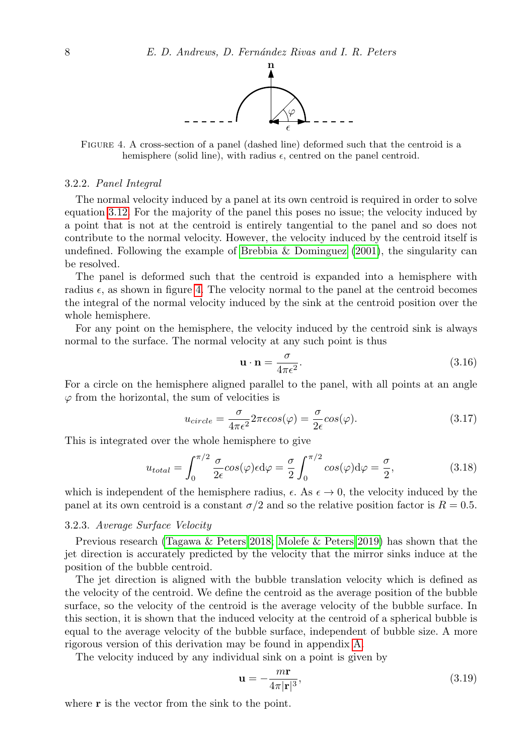

<span id="page-7-2"></span>Figure 4. A cross-section of a panel (dashed line) deformed such that the centroid is a hemisphere (solid line), with radius  $\epsilon$ , centred on the panel centroid.

#### <span id="page-7-1"></span>3.2.2. Panel Integral

The normal velocity induced by a panel at its own centroid is required in order to solve equation [3.12.](#page-6-3) For the majority of the panel this poses no issue; the velocity induced by a point that is not at the centroid is entirely tangential to the panel and so does not contribute to the normal velocity. However, the velocity induced by the centroid itself is undefined. Following the example of Brebbia  $\&$  Dominguez [\(2001\)](#page-19-3), the singularity can be resolved.

The panel is deformed such that the centroid is expanded into a hemisphere with radius  $\epsilon$ , as shown in figure [4.](#page-7-2) The velocity normal to the panel at the centroid becomes the integral of the normal velocity induced by the sink at the centroid position over the whole hemisphere.

For any point on the hemisphere, the velocity induced by the centroid sink is always normal to the surface. The normal velocity at any such point is thus

$$
\mathbf{u} \cdot \mathbf{n} = \frac{\sigma}{4\pi\epsilon^2}.\tag{3.16}
$$

For a circle on the hemisphere aligned parallel to the panel, with all points at an angle  $\varphi$  from the horizontal, the sum of velocities is

$$
u_{circle} = \frac{\sigma}{4\pi\epsilon^2} 2\pi \epsilon \cos(\varphi) = \frac{\sigma}{2\epsilon} \cos(\varphi).
$$
 (3.17)

This is integrated over the whole hemisphere to give

$$
u_{total} = \int_0^{\pi/2} \frac{\sigma}{2\epsilon} \cos(\varphi) \epsilon d\varphi = \frac{\sigma}{2} \int_0^{\pi/2} \cos(\varphi) d\varphi = \frac{\sigma}{2}, \tag{3.18}
$$

which is independent of the hemisphere radius,  $\epsilon$ . As  $\epsilon \to 0$ , the velocity induced by the panel at its own centroid is a constant  $\sigma/2$  and so the relative position factor is  $R = 0.5$ .

# <span id="page-7-0"></span>3.2.3. Average Surface Velocity

Previous research [\(Tagawa & Peters 2018;](#page-21-14) [Molefe & Peters 2019\)](#page-20-14) has shown that the jet direction is accurately predicted by the velocity that the mirror sinks induce at the position of the bubble centroid.

The jet direction is aligned with the bubble translation velocity which is defined as the velocity of the centroid. We define the centroid as the average position of the bubble surface, so the velocity of the centroid is the average velocity of the bubble surface. In this section, it is shown that the induced velocity at the centroid of a spherical bubble is equal to the average velocity of the bubble surface, independent of bubble size. A more rigorous version of this derivation may be found in appendix [A.](#page-17-0)

The velocity induced by any individual sink on a point is given by

$$
\mathbf{u} = -\frac{m\mathbf{r}}{4\pi|\mathbf{r}|^3},\tag{3.19}
$$

where **r** is the vector from the sink to the point.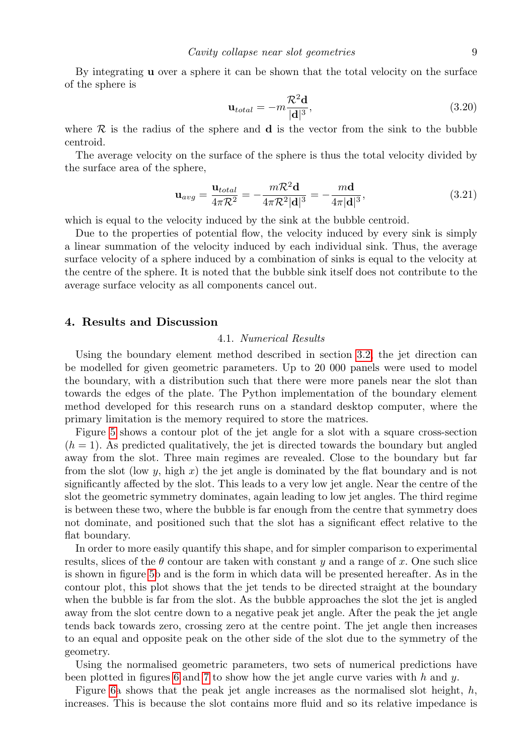By integrating u over a sphere it can be shown that the total velocity on the surface of the sphere is

$$
\mathbf{u}_{total} = -m \frac{\mathcal{R}^2 \mathbf{d}}{|\mathbf{d}|^3},\tag{3.20}
$$

where  $\mathcal R$  is the radius of the sphere and **d** is the vector from the sink to the bubble centroid.

The average velocity on the surface of the sphere is thus the total velocity divided by the surface area of the sphere,

$$
\mathbf{u}_{avg} = \frac{\mathbf{u}_{total}}{4\pi \mathcal{R}^2} = -\frac{m\mathcal{R}^2 \mathbf{d}}{4\pi \mathcal{R}^2 |\mathbf{d}|^3} = -\frac{m\mathbf{d}}{4\pi |\mathbf{d}|^3},\tag{3.21}
$$

which is equal to the velocity induced by the sink at the bubble centroid.

Due to the properties of potential flow, the velocity induced by every sink is simply a linear summation of the velocity induced by each individual sink. Thus, the average surface velocity of a sphere induced by a combination of sinks is equal to the velocity at the centre of the sphere. It is noted that the bubble sink itself does not contribute to the average surface velocity as all components cancel out.

# <span id="page-8-0"></span>4. Results and Discussion

#### 4.1. Numerical Results

Using the boundary element method described in section [3.2,](#page-4-0) the jet direction can be modelled for given geometric parameters. Up to 20 000 panels were used to model the boundary, with a distribution such that there were more panels near the slot than towards the edges of the plate. The Python implementation of the boundary element method developed for this research runs on a standard desktop computer, where the primary limitation is the memory required to store the matrices.

Figure [5](#page-9-0) shows a contour plot of the jet angle for a slot with a square cross-section  $(h = 1)$ . As predicted qualitatively, the jet is directed towards the boundary but angled away from the slot. Three main regimes are revealed. Close to the boundary but far from the slot (low  $y$ , high  $x$ ) the jet angle is dominated by the flat boundary and is not significantly affected by the slot. This leads to a very low jet angle. Near the centre of the slot the geometric symmetry dominates, again leading to low jet angles. The third regime is between these two, where the bubble is far enough from the centre that symmetry does not dominate, and positioned such that the slot has a significant effect relative to the flat boundary.

In order to more easily quantify this shape, and for simpler comparison to experimental results, slices of the  $\theta$  contour are taken with constant y and a range of x. One such slice is shown in figure [5b](#page-9-0) and is the form in which data will be presented hereafter. As in the contour plot, this plot shows that the jet tends to be directed straight at the boundary when the bubble is far from the slot. As the bubble approaches the slot the jet is angled away from the slot centre down to a negative peak jet angle. After the peak the jet angle tends back towards zero, crossing zero at the centre point. The jet angle then increases to an equal and opposite peak on the other side of the slot due to the symmetry of the geometry.

Using the normalised geometric parameters, two sets of numerical predictions have been plotted in figures [6](#page-10-0) and [7](#page-11-1) to show how the jet angle curve varies with  $h$  and  $y$ .

Figure [6a](#page-10-0) shows that the peak jet angle increases as the normalised slot height,  $h$ , increases. This is because the slot contains more fluid and so its relative impedance is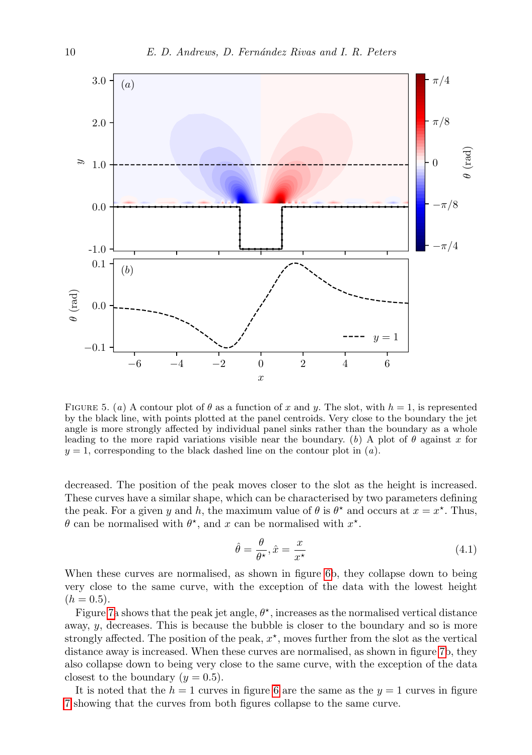

<span id="page-9-0"></span>FIGURE 5. (a) A contour plot of  $\theta$  as a function of x and y. The slot, with  $h = 1$ , is represented by the black line, with points plotted at the panel centroids. Very close to the boundary the jet angle is more strongly affected by individual panel sinks rather than the boundary as a whole leading to the more rapid variations visible near the boundary. (b) A plot of  $\theta$  against x for  $y = 1$ , corresponding to the black dashed line on the contour plot in  $(a)$ .

decreased. The position of the peak moves closer to the slot as the height is increased. These curves have a similar shape, which can be characterised by two parameters defining the peak. For a given y and h, the maximum value of  $\theta$  is  $\theta^*$  and occurs at  $x = x^*$ . Thus,  $\theta$  can be normalised with  $\theta^*$ , and x can be normalised with  $x^*$ .

$$
\hat{\theta} = \frac{\theta}{\theta^{\star}}, \hat{x} = \frac{x}{x^{\star}} \tag{4.1}
$$

When these curves are normalised, as shown in figure [6b](#page-10-0), they collapse down to being very close to the same curve, with the exception of the data with the lowest height  $(h = 0.5).$ 

Figure [7a](#page-11-1) shows that the peak jet angle,  $\theta^*$ , increases as the normalised vertical distance away,  $y$ , decreases. This is because the bubble is closer to the boundary and so is more strongly affected. The position of the peak,  $x^*$ , moves further from the slot as the vertical distance away is increased. When these curves are normalised, as shown in figure [7b](#page-11-1), they also collapse down to being very close to the same curve, with the exception of the data closest to the boundary  $(y = 0.5)$ .

It is noted that the  $h = 1$  curves in figure [6](#page-10-0) are the same as the  $y = 1$  curves in figure [7](#page-11-1) showing that the curves from both figures collapse to the same curve.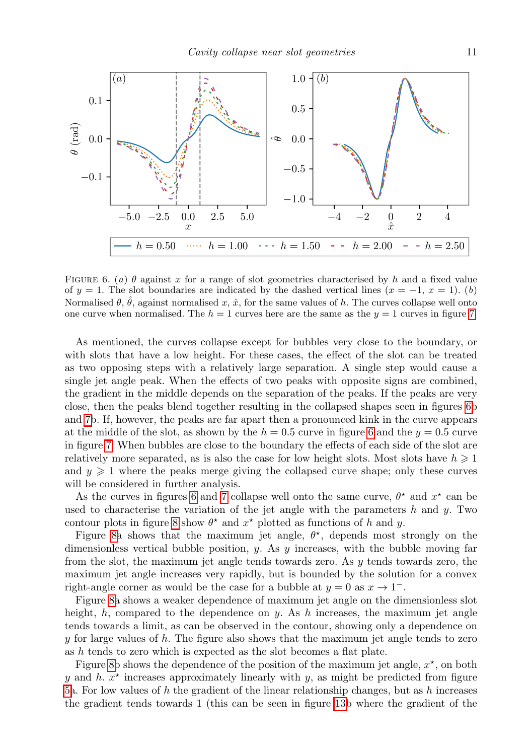

<span id="page-10-0"></span>FIGURE 6. (a)  $\theta$  against x for a range of slot geometries characterised by h and a fixed value of  $y = 1$ . The slot boundaries are indicated by the dashed vertical lines  $(x = -1, x = 1)$ . (b) Normalised  $\theta$ ,  $\hat{\theta}$ , against normalised x,  $\hat{x}$ , for the same values of h. The curves collapse well onto one curve when normalised. The  $h = 1$  curves here are the same as the  $y = 1$  curves in figure [7.](#page-11-1)

As mentioned, the curves collapse except for bubbles very close to the boundary, or with slots that have a low height. For these cases, the effect of the slot can be treated as two opposing steps with a relatively large separation. A single step would cause a single jet angle peak. When the effects of two peaks with opposite signs are combined, the gradient in the middle depends on the separation of the peaks. If the peaks are very close, then the peaks blend together resulting in the collapsed shapes seen in figures [6b](#page-10-0) and [7b](#page-11-1). If, however, the peaks are far apart then a pronounced kink in the curve appears at the middle of the slot, as shown by the  $h = 0.5$  curve in figure [6](#page-10-0) and the  $y = 0.5$  curve in figure [7.](#page-11-1) When bubbles are close to the boundary the effects of each side of the slot are relatively more separated, as is also the case for low height slots. Most slots have  $h \geq 1$ and  $y \geq 1$  where the peaks merge giving the collapsed curve shape; only these curves will be considered in further analysis.

As the curves in figures [6](#page-10-0) and [7](#page-11-1) collapse well onto the same curve,  $\theta^*$  and  $x^*$  can be used to characterise the variation of the jet angle with the parameters  $h$  and  $y$ . Two contour plots in figure [8](#page-12-1) show  $\theta^*$  and  $x^*$  plotted as functions of h and y.

Figure [8a](#page-12-1) shows that the maximum jet angle,  $\theta^*$ , depends most strongly on the dimensionless vertical bubble position,  $y$ . As  $y$  increases, with the bubble moving far from the slot, the maximum jet angle tends towards zero. As  $y$  tends towards zero, the maximum jet angle increases very rapidly, but is bounded by the solution for a convex right-angle corner as would be the case for a bubble at  $y = 0$  as  $x \to 1^-$ .

Figure [8a](#page-12-1) shows a weaker dependence of maximum jet angle on the dimensionless slot height,  $h$ , compared to the dependence on  $y$ . As  $h$  increases, the maximum jet angle tends towards a limit, as can be observed in the contour, showing only a dependence on  $y$  for large values of  $h$ . The figure also shows that the maximum jet angle tends to zero as h tends to zero which is expected as the slot becomes a flat plate.

Figure [8b](#page-12-1) shows the dependence of the position of the maximum jet angle,  $x^*$ , on both y and h.  $x^*$  increases approximately linearly with y, as might be predicted from figure [5a](#page-9-0). For low values of h the gradient of the linear relationship changes, but as h increases the gradient tends towards 1 (this can be seen in figure [13b](#page-16-0) where the gradient of the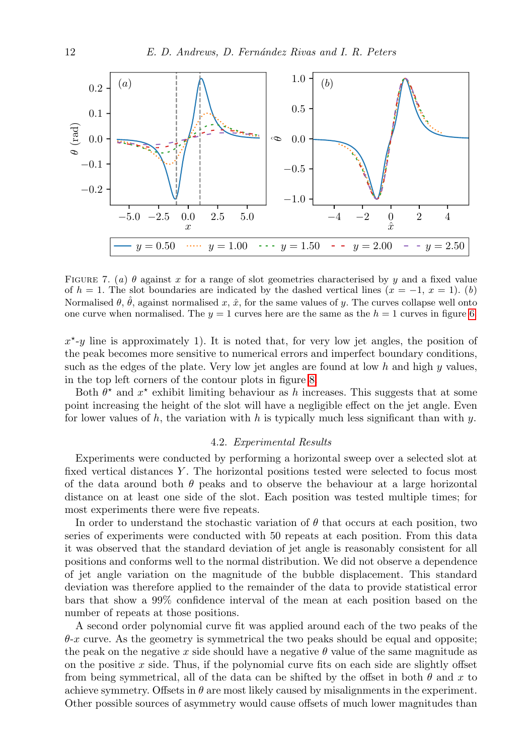

<span id="page-11-1"></span>FIGURE 7. (a)  $\theta$  against x for a range of slot geometries characterised by y and a fixed value of  $h = 1$ . The slot boundaries are indicated by the dashed vertical lines  $(x = -1, x = 1)$ . (b) Normalised  $\theta$ ,  $\hat{\theta}$ , against normalised x,  $\hat{x}$ , for the same values of y. The curves collapse well onto one curve when normalised. The  $y = 1$  curves here are the same as the  $h = 1$  curves in figure [6.](#page-10-0)

 $x^*$ -y line is approximately 1). It is noted that, for very low jet angles, the position of the peak becomes more sensitive to numerical errors and imperfect boundary conditions, such as the edges of the plate. Very low jet angles are found at low h and high  $y$  values, in the top left corners of the contour plots in figure [8.](#page-12-1)

Both  $\theta^*$  and  $x^*$  exhibit limiting behaviour as h increases. This suggests that at some point increasing the height of the slot will have a negligible effect on the jet angle. Even for lower values of  $h$ , the variation with  $h$  is typically much less significant than with  $y$ .

# 4.2. Experimental Results

<span id="page-11-0"></span>Experiments were conducted by performing a horizontal sweep over a selected slot at fixed vertical distances  $Y$ . The horizontal positions tested were selected to focus most of the data around both  $\theta$  peaks and to observe the behaviour at a large horizontal distance on at least one side of the slot. Each position was tested multiple times; for most experiments there were five repeats.

In order to understand the stochastic variation of  $\theta$  that occurs at each position, two series of experiments were conducted with 50 repeats at each position. From this data it was observed that the standard deviation of jet angle is reasonably consistent for all positions and conforms well to the normal distribution. We did not observe a dependence of jet angle variation on the magnitude of the bubble displacement. This standard deviation was therefore applied to the remainder of the data to provide statistical error bars that show a 99% confidence interval of the mean at each position based on the number of repeats at those positions.

A second order polynomial curve fit was applied around each of the two peaks of the  $\theta$ -x curve. As the geometry is symmetrical the two peaks should be equal and opposite; the peak on the negative x side should have a negative  $\theta$  value of the same magnitude as on the positive  $x$  side. Thus, if the polynomial curve fits on each side are slightly offset from being symmetrical, all of the data can be shifted by the offset in both  $\theta$  and x to achieve symmetry. Offsets in  $\theta$  are most likely caused by misalignments in the experiment. Other possible sources of asymmetry would cause offsets of much lower magnitudes than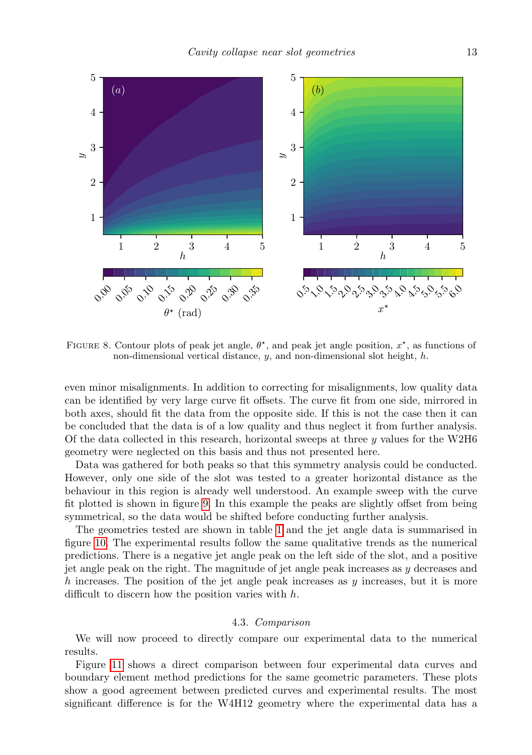

<span id="page-12-1"></span>FIGURE 8. Contour plots of peak jet angle,  $\theta^*$ , and peak jet angle position,  $x^*$ , as functions of non-dimensional vertical distance,  $y$ , and non-dimensional slot height,  $h$ .

even minor misalignments. In addition to correcting for misalignments, low quality data can be identified by very large curve fit offsets. The curve fit from one side, mirrored in both axes, should fit the data from the opposite side. If this is not the case then it can be concluded that the data is of a low quality and thus neglect it from further analysis. Of the data collected in this research, horizontal sweeps at three y values for the W2H6 geometry were neglected on this basis and thus not presented here.

Data was gathered for both peaks so that this symmetry analysis could be conducted. However, only one side of the slot was tested to a greater horizontal distance as the behaviour in this region is already well understood. An example sweep with the curve fit plotted is shown in figure [9.](#page-13-0) In this example the peaks are slightly offset from being symmetrical, so the data would be shifted before conducting further analysis.

The geometries tested are shown in table [1](#page-13-1) and the jet angle data is summarised in figure [10.](#page-14-0) The experimental results follow the same qualitative trends as the numerical predictions. There is a negative jet angle peak on the left side of the slot, and a positive jet angle peak on the right. The magnitude of jet angle peak increases as y decreases and h increases. The position of the jet angle peak increases as  $y$  increases, but it is more difficult to discern how the position varies with h.

#### 4.3. Comparison

<span id="page-12-0"></span>We will now proceed to directly compare our experimental data to the numerical results.

Figure [11](#page-15-0) shows a direct comparison between four experimental data curves and boundary element method predictions for the same geometric parameters. These plots show a good agreement between predicted curves and experimental results. The most significant difference is for the W4H12 geometry where the experimental data has a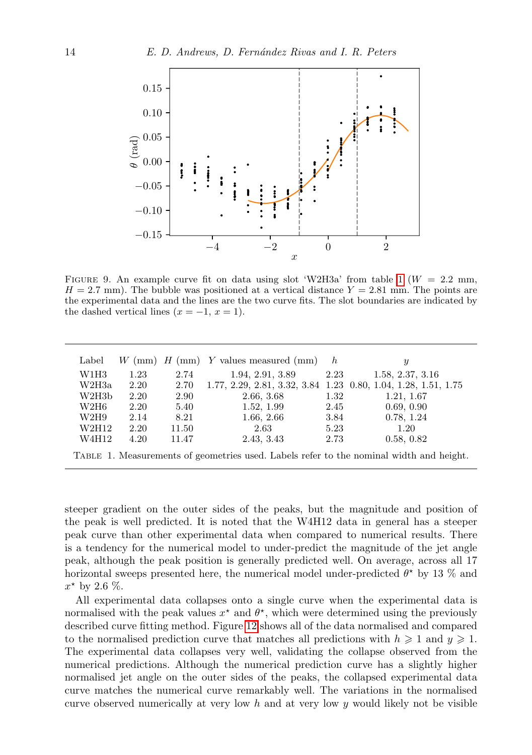

<span id="page-13-0"></span>FIGURE 9. An example curve fit on data using slot 'W2H3a' from table [1](#page-13-1) ( $W = 2.2$  mm,  $H = 2.7$  mm). The bubble was positioned at a vertical distance  $Y = 2.81$  mm. The points are the experimental data and the lines are the two curve fits. The slot boundaries are indicated by the dashed vertical lines  $(x = -1, x = 1)$ .

| Label                                                                                   |      |       | $W$ (mm) $H$ (mm) $Y$ values measured (mm)                     | h    | Y                |
|-----------------------------------------------------------------------------------------|------|-------|----------------------------------------------------------------|------|------------------|
| W1H3                                                                                    | 1.23 | 2.74  | 1.94, 2.91, 3.89                                               | 2.23 | 1.58, 2.37, 3.16 |
| W2H3a                                                                                   | 2.20 | 2.70  | 1.77, 2.29, 2.81, 3.32, 3.84 1.23 0.80, 1.04, 1.28, 1.51, 1.75 |      |                  |
| W2H3b                                                                                   | 2.20 | 2.90  | 2.66, 3.68                                                     | 1.32 | 1.21, 1.67       |
| W2H6                                                                                    | 2.20 | 5.40  | 1.52, 1.99                                                     | 2.45 | 0.69, 0.90       |
| W2H9                                                                                    | 2.14 | 8.21  | 1.66, 2.66                                                     | 3.84 | 0.78, 1.24       |
| W2H12                                                                                   | 2.20 | 11.50 | 2.63                                                           | 5.23 | 1.20             |
| W4H12                                                                                   | 4.20 | 11.47 | 2.43, 3.43                                                     | 2.73 | 0.58, 0.82       |
| TABLE 1. Measurements of geometries used. Labels refer to the nominal width and height. |      |       |                                                                |      |                  |

<span id="page-13-1"></span>steeper gradient on the outer sides of the peaks, but the magnitude and position of the peak is well predicted. It is noted that the W4H12 data in general has a steeper peak curve than other experimental data when compared to numerical results. There is a tendency for the numerical model to under-predict the magnitude of the jet angle peak, although the peak position is generally predicted well. On average, across all 17 horizontal sweeps presented here, the numerical model under-predicted  $\theta^*$  by 13 % and  $x^*$  by 2.6 %.

All experimental data collapses onto a single curve when the experimental data is normalised with the peak values  $x^*$  and  $\theta^*$ , which were determined using the previously described curve fitting method. Figure [12](#page-16-1) shows all of the data normalised and compared to the normalised prediction curve that matches all predictions with  $h \geq 1$  and  $y \geq 1$ . The experimental data collapses very well, validating the collapse observed from the numerical predictions. Although the numerical prediction curve has a slightly higher normalised jet angle on the outer sides of the peaks, the collapsed experimental data curve matches the numerical curve remarkably well. The variations in the normalised curve observed numerically at very low h and at very low  $y$  would likely not be visible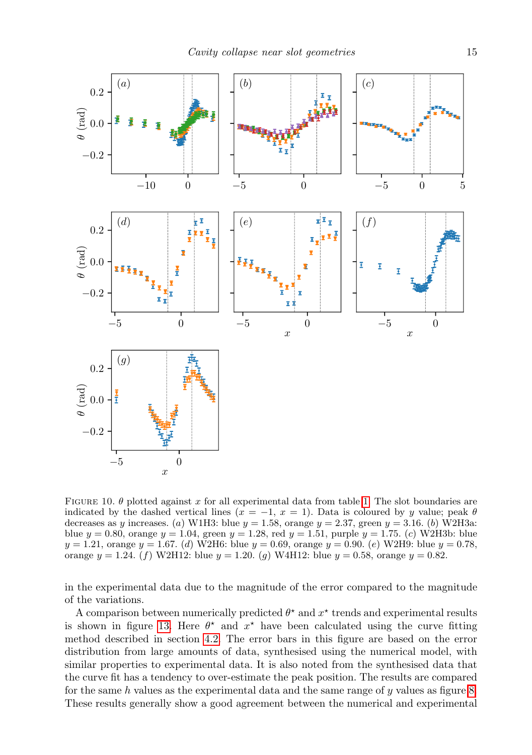

<span id="page-14-0"></span>FIGURE 10.  $\theta$  plotted against x for all experimental data from table [1.](#page-13-1) The slot boundaries are indicated by the dashed vertical lines  $(x = -1, x = 1)$ . Data is coloured by y value; peak  $\theta$ decreases as y increases. (a) W1H3: blue  $y = 1.58$ , orange  $y = 2.37$ , green  $y = 3.16$ . (b) W2H3a: blue  $y = 0.80$ , orange  $y = 1.04$ , green  $y = 1.28$ , red  $y = 1.51$ , purple  $y = 1.75$ . (c) W2H3b: blue  $y = 1.21$ , orange  $y = 1.67$ . (d) W2H6: blue  $y = 0.69$ , orange  $y = 0.90$ . (e) W2H9: blue  $y = 0.78$ , orange  $y = 1.24$ . (f) W2H12: blue  $y = 1.20$ . (q) W4H12: blue  $y = 0.58$ , orange  $y = 0.82$ .

in the experimental data due to the magnitude of the error compared to the magnitude of the variations.

A comparison between numerically predicted  $\theta^*$  and  $x^*$  trends and experimental results is shown in figure [13.](#page-16-0) Here  $\theta^*$  and  $x^*$  have been calculated using the curve fitting method described in section [4.2.](#page-11-0) The error bars in this figure are based on the error distribution from large amounts of data, synthesised using the numerical model, with similar properties to experimental data. It is also noted from the synthesised data that the curve fit has a tendency to over-estimate the peak position. The results are compared for the same  $h$  values as the experimental data and the same range of  $\gamma$  values as figure [8.](#page-12-1) These results generally show a good agreement between the numerical and experimental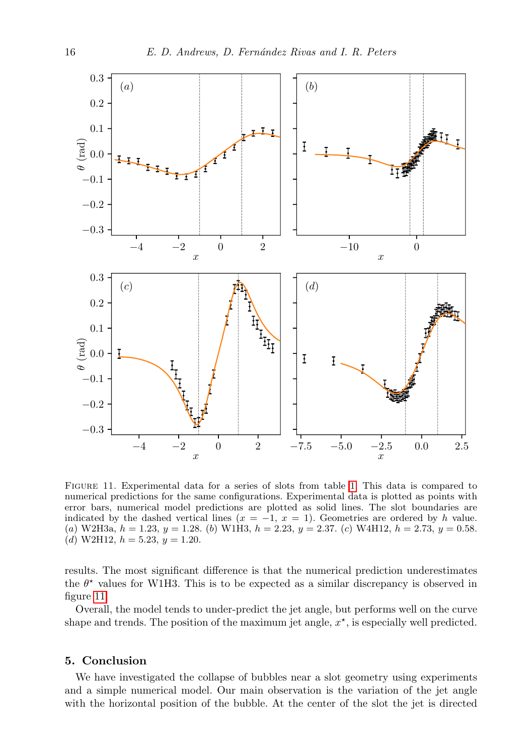

<span id="page-15-0"></span>Figure 11. Experimental data for a series of slots from table [1.](#page-13-1) This data is compared to numerical predictions for the same configurations. Experimental data is plotted as points with error bars, numerical model predictions are plotted as solid lines. The slot boundaries are indicated by the dashed vertical lines  $(x = -1, x = 1)$ . Geometries are ordered by h value. (a) W2H3a,  $h = 1.23$ ,  $y = 1.28$ . (b) W1H3,  $h = 2.23$ ,  $y = 2.37$ . (c) W4H12,  $h = 2.73$ ,  $y = 0.58$ . (d) W2H12,  $h = 5.23, y = 1.20$ .

results. The most significant difference is that the numerical prediction underestimates the  $\theta^*$  values for W1H3. This is to be expected as a similar discrepancy is observed in figure [11.](#page-15-0)

Overall, the model tends to under-predict the jet angle, but performs well on the curve shape and trends. The position of the maximum jet angle,  $x^*$ , is especially well predicted.

# 5. Conclusion

We have investigated the collapse of bubbles near a slot geometry using experiments and a simple numerical model. Our main observation is the variation of the jet angle with the horizontal position of the bubble. At the center of the slot the jet is directed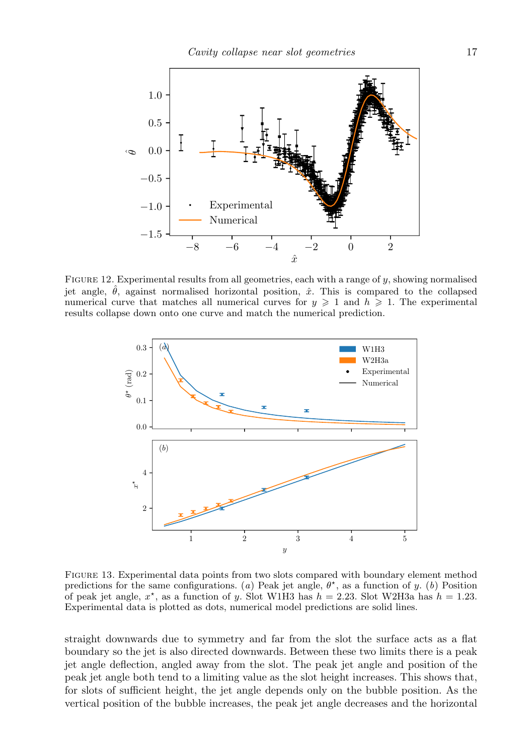

<span id="page-16-1"></span>FIGURE 12. Experimental results from all geometries, each with a range of  $y$ , showing normalised jet angle,  $\hat{\theta}$ , against normalised horizontal position,  $\hat{x}$ . This is compared to the collapsed numerical curve that matches all numerical curves for  $y \geq 1$  and  $h \geq 1$ . The experimental results collapse down onto one curve and match the numerical prediction.



<span id="page-16-0"></span>Figure 13. Experimental data points from two slots compared with boundary element method predictions for the same configurations. (a) Peak jet angle,  $\theta^*$ , as a function of y. (b) Position of peak jet angle,  $x^*$ , as a function of y. Slot W1H3 has  $h = 2.23$ . Slot W2H3a has  $h = 1.23$ . Experimental data is plotted as dots, numerical model predictions are solid lines.

straight downwards due to symmetry and far from the slot the surface acts as a flat boundary so the jet is also directed downwards. Between these two limits there is a peak jet angle deflection, angled away from the slot. The peak jet angle and position of the peak jet angle both tend to a limiting value as the slot height increases. This shows that, for slots of sufficient height, the jet angle depends only on the bubble position. As the vertical position of the bubble increases, the peak jet angle decreases and the horizontal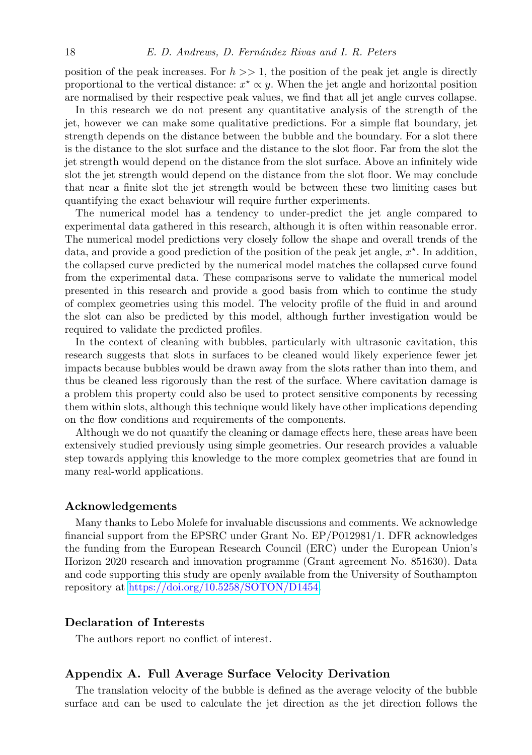position of the peak increases. For  $h \geq 1$ , the position of the peak jet angle is directly proportional to the vertical distance:  $x^* \propto y$ . When the jet angle and horizontal position are normalised by their respective peak values, we find that all jet angle curves collapse.

In this research we do not present any quantitative analysis of the strength of the jet, however we can make some qualitative predictions. For a simple flat boundary, jet strength depends on the distance between the bubble and the boundary. For a slot there is the distance to the slot surface and the distance to the slot floor. Far from the slot the jet strength would depend on the distance from the slot surface. Above an infinitely wide slot the jet strength would depend on the distance from the slot floor. We may conclude that near a finite slot the jet strength would be between these two limiting cases but quantifying the exact behaviour will require further experiments.

The numerical model has a tendency to under-predict the jet angle compared to experimental data gathered in this research, although it is often within reasonable error. The numerical model predictions very closely follow the shape and overall trends of the data, and provide a good prediction of the position of the peak jet angle,  $x^*$ . In addition, the collapsed curve predicted by the numerical model matches the collapsed curve found from the experimental data. These comparisons serve to validate the numerical model presented in this research and provide a good basis from which to continue the study of complex geometries using this model. The velocity profile of the fluid in and around the slot can also be predicted by this model, although further investigation would be required to validate the predicted profiles.

In the context of cleaning with bubbles, particularly with ultrasonic cavitation, this research suggests that slots in surfaces to be cleaned would likely experience fewer jet impacts because bubbles would be drawn away from the slots rather than into them, and thus be cleaned less rigorously than the rest of the surface. Where cavitation damage is a problem this property could also be used to protect sensitive components by recessing them within slots, although this technique would likely have other implications depending on the flow conditions and requirements of the components.

Although we do not quantify the cleaning or damage effects here, these areas have been extensively studied previously using simple geometries. Our research provides a valuable step towards applying this knowledge to the more complex geometries that are found in many real-world applications.

# Acknowledgements

Many thanks to Lebo Molefe for invaluable discussions and comments. We acknowledge financial support from the EPSRC under Grant No. EP/P012981/1. DFR acknowledges the funding from the European Research Council (ERC) under the European Union's Horizon 2020 research and innovation programme (Grant agreement No. 851630). Data and code supporting this study are openly available from the University of Southampton repository at [https://doi.org/10.5258/SOTON/D1454.](https://doi.org/10.5258/SOTON/D1454)

# Declaration of Interests

The authors report no conflict of interest.

# <span id="page-17-0"></span>Appendix A. Full Average Surface Velocity Derivation

The translation velocity of the bubble is defined as the average velocity of the bubble surface and can be used to calculate the jet direction as the jet direction follows the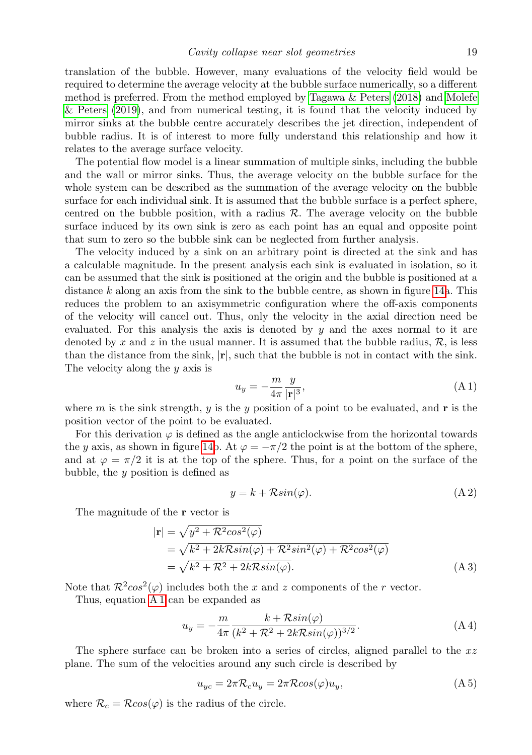translation of the bubble. However, many evaluations of the velocity field would be required to determine the average velocity at the bubble surface numerically, so a different method is preferred. From the method employed by [Tagawa & Peters](#page-21-14) [\(2018\)](#page-21-14) and [Molefe](#page-20-14) [& Peters](#page-20-14) [\(2019\)](#page-20-14), and from numerical testing, it is found that the velocity induced by mirror sinks at the bubble centre accurately describes the jet direction, independent of bubble radius. It is of interest to more fully understand this relationship and how it relates to the average surface velocity.

The potential flow model is a linear summation of multiple sinks, including the bubble and the wall or mirror sinks. Thus, the average velocity on the bubble surface for the whole system can be described as the summation of the average velocity on the bubble surface for each individual sink. It is assumed that the bubble surface is a perfect sphere, centred on the bubble position, with a radius  $R$ . The average velocity on the bubble surface induced by its own sink is zero as each point has an equal and opposite point that sum to zero so the bubble sink can be neglected from further analysis.

The velocity induced by a sink on an arbitrary point is directed at the sink and has a calculable magnitude. In the present analysis each sink is evaluated in isolation, so it can be assumed that the sink is positioned at the origin and the bubble is positioned at a distance  $k$  along an axis from the sink to the bubble centre, as shown in figure [14a](#page-19-4). This reduces the problem to an axisymmetric configuration where the off-axis components of the velocity will cancel out. Thus, only the velocity in the axial direction need be evaluated. For this analysis the axis is denoted by  $y$  and the axes normal to it are denoted by x and z in the usual manner. It is assumed that the bubble radius,  $\mathcal{R}$ , is less than the distance from the sink,  $|\mathbf{r}|$ , such that the bubble is not in contact with the sink. The velocity along the  $y$  axis is

<span id="page-18-0"></span>
$$
u_y = -\frac{m}{4\pi} \frac{y}{|\mathbf{r}|^3},\tag{A.1}
$$

where m is the sink strength, y is the y position of a point to be evaluated, and r is the position vector of the point to be evaluated.

For this derivation  $\varphi$  is defined as the angle anticlockwise from the horizontal towards the y axis, as shown in figure [14b](#page-19-4). At  $\varphi = -\pi/2$  the point is at the bottom of the sphere, and at  $\varphi = \pi/2$  it is at the top of the sphere. Thus, for a point on the surface of the bubble, the  $y$  position is defined as

$$
y = k + R\sin(\varphi). \tag{A.2}
$$

The magnitude of the r vector is

$$
|\mathbf{r}| = \sqrt{y^2 + \mathcal{R}^2 \cos^2(\varphi)}
$$
  
=  $\sqrt{k^2 + 2k\mathcal{R}\sin(\varphi) + \mathcal{R}^2 \sin^2(\varphi) + \mathcal{R}^2 \cos^2(\varphi)}$   
=  $\sqrt{k^2 + \mathcal{R}^2 + 2k\mathcal{R}\sin(\varphi)}$ . (A3)

Note that  $\mathcal{R}^2 \cos^2(\varphi)$  includes both the x and z components of the r vector.

Thus, equation [A 1](#page-18-0) can be expanded as

$$
u_y = -\frac{m}{4\pi} \frac{k + R\sin(\varphi)}{(k^2 + \mathcal{R}^2 + 2kR\sin(\varphi))^{3/2}}.
$$
 (A4)

The sphere surface can be broken into a series of circles, aligned parallel to the  $xz$ plane. The sum of the velocities around any such circle is described by

<span id="page-18-1"></span>
$$
u_{yc} = 2\pi \mathcal{R}_c u_y = 2\pi \mathcal{R} \cos(\varphi) u_y,\tag{A.5}
$$

where  $\mathcal{R}_c = \mathcal{R} \cos(\varphi)$  is the radius of the circle.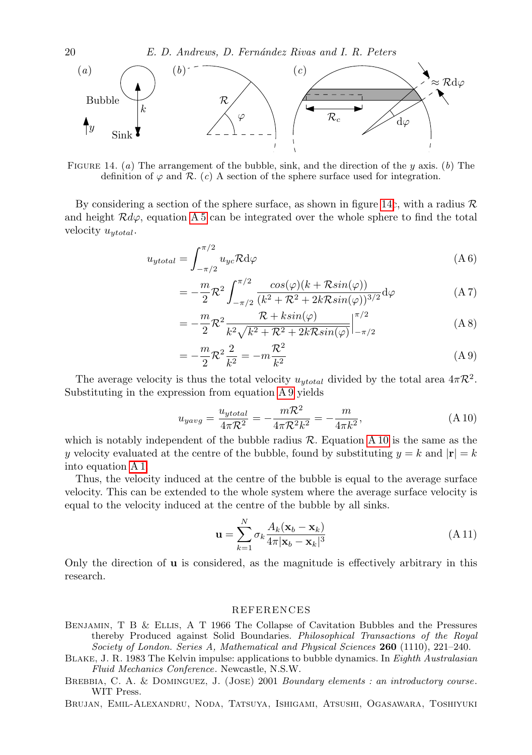

<span id="page-19-4"></span>FIGURE 14. (a) The arrangement of the bubble, sink, and the direction of the y axis. (b) The definition of  $\varphi$  and  $\mathcal{R}$ . (c) A section of the sphere surface used for integration.

By considering a section of the sphere surface, as shown in figure [14c](#page-19-4), with a radius  $\mathcal R$ and height  $\mathcal{R}d\varphi$ , equation [A 5](#page-18-1) can be integrated over the whole sphere to find the total velocity  $u_{utotal}$ .

<span id="page-19-5"></span>
$$
u_{ytotal} = \int_{-\pi/2}^{\pi/2} u_{yc} \mathcal{R} \mathrm{d}\varphi \tag{A6}
$$

$$
= -\frac{m}{2} \mathcal{R}^2 \int_{-\pi/2}^{\pi/2} \frac{\cos(\varphi)(k + \mathcal{R}\sin(\varphi))}{(k^2 + \mathcal{R}^2 + 2k\mathcal{R}\sin(\varphi))^{3/2}} d\varphi \tag{A7}
$$

$$
= -\frac{m}{2} \mathcal{R}^2 \frac{\mathcal{R} + k \sin(\varphi)}{k^2 \sqrt{k^2 + \mathcal{R}^2 + 2k \mathcal{R} \sin(\varphi)}} \Big|_{-\pi/2}^{\pi/2}
$$
 (A 8)

$$
= -\frac{m}{2} \mathcal{R}^2 \frac{2}{k^2} = -m \frac{\mathcal{R}^2}{k^2}
$$
 (A 9)

The average velocity is thus the total velocity  $u_{\text{ytotal}}$  divided by the total area  $4\pi R^2$ . Substituting in the expression from equation [A 9](#page-19-5) yields

<span id="page-19-6"></span>
$$
u_{yavg} = \frac{u_{ytotal}}{4\pi \mathcal{R}^2} = -\frac{m\mathcal{R}^2}{4\pi \mathcal{R}^2 k^2} = -\frac{m}{4\pi k^2},\tag{A.10}
$$

which is notably independent of the bubble radius  $R$ . Equation [A 10](#page-19-6) is the same as the y velocity evaluated at the centre of the bubble, found by substituting  $y = k$  and  $|\mathbf{r}| = k$ into equation [A 1.](#page-18-0)

Thus, the velocity induced at the centre of the bubble is equal to the average surface velocity. This can be extended to the whole system where the average surface velocity is equal to the velocity induced at the centre of the bubble by all sinks.

$$
\mathbf{u} = \sum_{k=1}^{N} \sigma_k \frac{A_k (\mathbf{x}_b - \mathbf{x}_k)}{4\pi |\mathbf{x}_b - \mathbf{x}_k|^3}
$$
(A 11)

Only the direction of  $\bf{u}$  is considered, as the magnitude is effectively arbitrary in this research.

# REFERENCES

- <span id="page-19-0"></span>Benjamin, T B & Ellis, A T 1966 The Collapse of Cavitation Bubbles and the Pressures thereby Produced against Solid Boundaries. Philosophical Transactions of the Royal Society of London. Series A, Mathematical and Physical Sciences 260 (1110), 221-240.
- <span id="page-19-2"></span>Blake, J. R. 1983 The Kelvin impulse: applications to bubble dynamics. In Eighth Australasian Fluid Mechanics Conference. Newcastle, N.S.W.
- <span id="page-19-3"></span>BREBBIA, C. A. & DOMINGUEZ, J. (JOSE) 2001 Boundary elements : an introductory course. WIT Press.
- <span id="page-19-1"></span>Brujan, Emil-Alexandru, Noda, Tatsuya, Ishigami, Atsushi, Ogasawara, Toshiyuki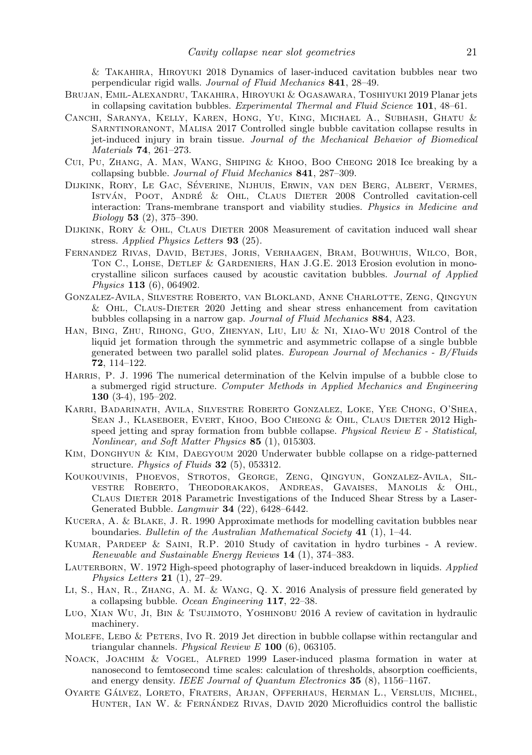& Takahira, Hiroyuki 2018 Dynamics of laser-induced cavitation bubbles near two perpendicular rigid walls. Journal of Fluid Mechanics 841, 28–49.

- <span id="page-20-13"></span>Brujan, Emil-Alexandru, Takahira, Hiroyuki & Ogasawara, Toshiyuki 2019 Planar jets in collapsing cavitation bubbles. Experimental Thermal and Fluid Science 101, 48–61.
- <span id="page-20-7"></span>Canchi, Saranya, Kelly, Karen, Hong, Yu, King, Michael A., Subhash, Ghatu & Sarntinoranont, Malisa 2017 Controlled single bubble cavitation collapse results in jet-induced injury in brain tissue. Journal of the Mechanical Behavior of Biomedical Materials 74, 261–273.
- <span id="page-20-9"></span>Cui, Pu, Zhang, A. Man, Wang, Shiping & Khoo, Boo Cheong 2018 Ice breaking by a collapsing bubble. Journal of Fluid Mechanics 841, 287–309.
- <span id="page-20-5"></span>DIJKINK, RORY, LE GAC, SÉVERINE, NIJHUIS, ERWIN, VAN DEN BERG, ALBERT, VERMES, ISTVÁN, POOT, ANDRÉ & OHL, CLAUS DIETER 2008 Controlled cavitation-cell interaction: Trans-membrane transport and viability studies. Physics in Medicine and Biology 53 (2), 375–390.
- <span id="page-20-0"></span>DIJKINK, RORY & OHL, CLAUS DIETER 2008 Measurement of cavitation induced wall shear stress. Applied Physics Letters 93 (25).
- <span id="page-20-2"></span>Fernandez Rivas, David, Betjes, Joris, Verhaagen, Bram, Bouwhuis, Wilco, Bor, Ton C., Lohse, Detlef & Gardeniers, Han J.G.E. 2013 Erosion evolution in monocrystalline silicon surfaces caused by acoustic cavitation bubbles. Journal of Applied Physics 113 (6), 064902.
- <span id="page-20-12"></span>Gonzalez-Avila, Silvestre Roberto, van Blokland, Anne Charlotte, Zeng, Qingyun & Ohl, Claus-Dieter 2020 Jetting and shear stress enhancement from cavitation bubbles collapsing in a narrow gap. Journal of Fluid Mechanics 884, A23.
- <span id="page-20-11"></span>Han, Bing, Zhu, Rihong, Guo, Zhenyan, Liu, Liu & Ni, Xiao-Wu 2018 Control of the liquid jet formation through the symmetric and asymmetric collapse of a single bubble generated between two parallel solid plates. European Journal of Mechanics - B/Fluids 72, 114–122.
- <span id="page-20-16"></span>Harris, P. J. 1996 The numerical determination of the Kelvin impulse of a bubble close to a submerged rigid structure. Computer Methods in Applied Mechanics and Engineering 130 (3-4), 195–202.
- <span id="page-20-8"></span>Karri, Badarinath, Avila, Silvestre Roberto Gonzalez, Loke, Yee Chong, O'Shea, Sean J., Klaseboer, Evert, Khoo, Boo Cheong & Ohl, Claus Dieter 2012 Highspeed jetting and spray formation from bubble collapse. Physical Review E - Statistical, Nonlinear, and Soft Matter Physics 85 (1), 015303.
- <span id="page-20-15"></span>Kim, Donghyun & Kim, Daegyoum 2020 Underwater bubble collapse on a ridge-patterned structure. Physics of Fluids 32 (5), 053312.
- <span id="page-20-1"></span>Koukouvinis, Phoevos, Strotos, George, Zeng, Qingyun, Gonzalez-Avila, Silvestre Roberto, Theodorakakos, Andreas, Gavaises, Manolis & Ohl, Claus Dieter 2018 Parametric Investigations of the Induced Shear Stress by a Laser-Generated Bubble. Langmuir 34 (22), 6428–6442.
- <span id="page-20-10"></span>Kucera, A. & Blake, J. R. 1990 Approximate methods for modelling cavitation bubbles near boundaries. Bulletin of the Australian Mathematical Society 41 (1), 1–44.
- <span id="page-20-4"></span>Kumar, Pardeep & Saini, R.P. 2010 Study of cavitation in hydro turbines - A review. Renewable and Sustainable Energy Reviews 14 (1), 374–383.
- <span id="page-20-17"></span>LAUTERBORN, W. 1972 High-speed photography of laser-induced breakdown in liquids. Applied Physics Letters 21 (1), 27–29.
- <span id="page-20-19"></span>Li, S., Han, R., Zhang, A. M. & Wang, Q. X. 2016 Analysis of pressure field generated by a collapsing bubble. Ocean Engineering 117, 22–38.
- <span id="page-20-3"></span>Luo, XIAN WU, JI, BIN & TSUJIMOTO, YOSHINOBU 2016 A review of cavitation in hydraulic machinery.
- <span id="page-20-14"></span>MOLEFE, LEBO  $&$  PETERS, IVO R. 2019 Jet direction in bubble collapse within rectangular and triangular channels. Physical Review  $E$  100 (6), 063105.
- <span id="page-20-18"></span>NOACK, JOACHIM & VOGEL, ALFRED 1999 Laser-induced plasma formation in water at nanosecond to femtosecond time scales: calculation of thresholds, absorption coefficients, and energy density. IEEE Journal of Quantum Electronics 35 (8), 1156–1167.
- <span id="page-20-6"></span>Oyarte Galvez, Loreto, Fraters, Arjan, Offerhaus, Herman L., Versluis, Michel, ´ HUNTER, IAN W. & FERNÁNDEZ RIVAS, DAVID 2020 Microfluidics control the ballistic